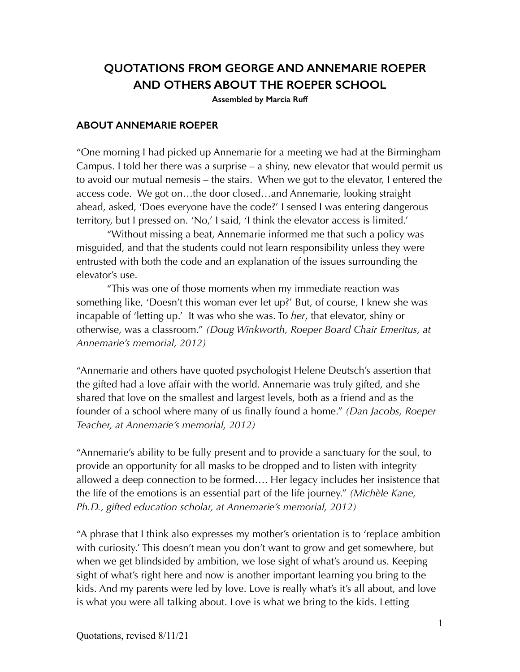# **QUOTATIONS FROM GEORGE AND ANNEMARIE ROEPER AND OTHERS ABOUT THE ROEPER SCHOOL**

**Assembled by Marcia Ruff**

#### **ABOUT ANNEMARIE ROEPER**

"One morning I had picked up Annemarie for a meeting we had at the Birmingham Campus. I told her there was a surprise – a shiny, new elevator that would permit us to avoid our mutual nemesis – the stairs. When we got to the elevator, I entered the access code. We got on…the door closed…and Annemarie, looking straight ahead, asked, 'Does everyone have the code?' I sensed I was entering dangerous territory, but I pressed on. 'No,' I said, 'I think the elevator access is limited.'

 "Without missing a beat, Annemarie informed me that such a policy was misguided, and that the students could not learn responsibility unless they were entrusted with both the code and an explanation of the issues surrounding the elevator's use.

 "This was one of those moments when my immediate reaction was something like, 'Doesn't this woman ever let up?' But, of course, I knew she was incapable of 'letting up.' It was who she was. To *her*, that elevator, shiny or otherwise, was a classroom." *(Doug Winkworth, Roeper Board Chair Emeritus, at Annemarie's memorial, 2012)*

"Annemarie and others have quoted psychologist Helene Deutsch's assertion that the gifted had a love affair with the world. Annemarie was truly gifted, and she shared that love on the smallest and largest levels, both as a friend and as the founder of a school where many of us finally found a home." *(Dan Jacobs, Roeper Teacher, at Annemarie's memorial, 2012)*

"Annemarie's ability to be fully present and to provide a sanctuary for the soul, to provide an opportunity for all masks to be dropped and to listen with integrity allowed a deep connection to be formed…. Her legacy includes her insistence that the life of the emotions is an essential part of the life journey." *(Michèle Kane, Ph.D., gifted education scholar, at Annemarie's memorial, 2012)*

"A phrase that I think also expresses my mother's orientation is to 'replace ambition with curiosity.' This doesn't mean you don't want to grow and get somewhere, but when we get blindsided by ambition, we lose sight of what's around us. Keeping sight of what's right here and now is another important learning you bring to the kids. And my parents were led by love. Love is really what's it's all about, and love is what you were all talking about. Love is what we bring to the kids. Letting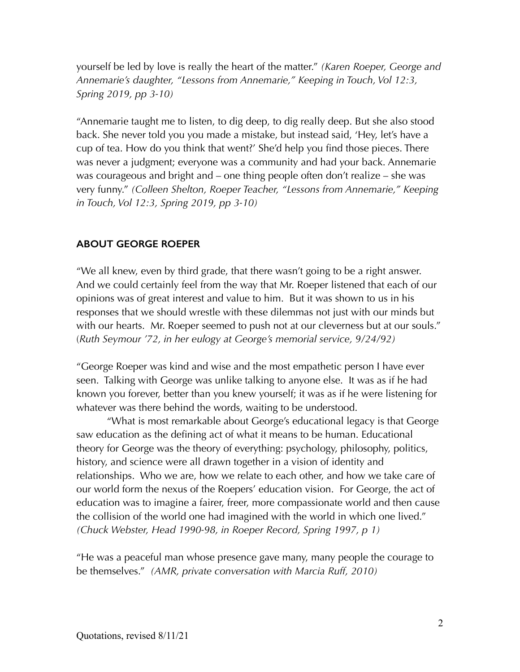yourself be led by love is really the heart of the matter." *(Karen Roeper, George and Annemarie's daughter, "Lessons from Annemarie," Keeping in Touch, Vol 12:3, Spring 2019, pp 3-10)*

"Annemarie taught me to listen, to dig deep, to dig really deep. But she also stood back. She never told you you made a mistake, but instead said, 'Hey, let's have a cup of tea. How do you think that went?' She'd help you find those pieces. There was never a judgment; everyone was a community and had your back. Annemarie was courageous and bright and – one thing people often don't realize – she was very funny." *(Colleen Shelton, Roeper Teacher, "Lessons from Annemarie," Keeping in Touch, Vol 12:3, Spring 2019, pp 3-10)*

### **ABOUT GEORGE ROEPER**

"We all knew, even by third grade, that there wasn't going to be a right answer. And we could certainly feel from the way that Mr. Roeper listened that each of our opinions was of great interest and value to him. But it was shown to us in his responses that we should wrestle with these dilemmas not just with our minds but with our hearts. Mr. Roeper seemed to push not at our cleverness but at our souls." (*Ruth Seymour '72, in her eulogy at George's memorial service, 9/24/92)*

"George Roeper was kind and wise and the most empathetic person I have ever seen. Talking with George was unlike talking to anyone else. It was as if he had known you forever, better than you knew yourself; it was as if he were listening for whatever was there behind the words, waiting to be understood.

 "What is most remarkable about George's educational legacy is that George saw education as the defining act of what it means to be human. Educational theory for George was the theory of everything: psychology, philosophy, politics, history, and science were all drawn together in a vision of identity and relationships. Who we are, how we relate to each other, and how we take care of our world form the nexus of the Roepers' education vision. For George, the act of education was to imagine a fairer, freer, more compassionate world and then cause the collision of the world one had imagined with the world in which one lived." *(Chuck Webster, Head 1990-98, in Roeper Record, Spring 1997, p 1)*

"He was a peaceful man whose presence gave many, many people the courage to be themselves." *(AMR, private conversation with Marcia Ruff, 2010)*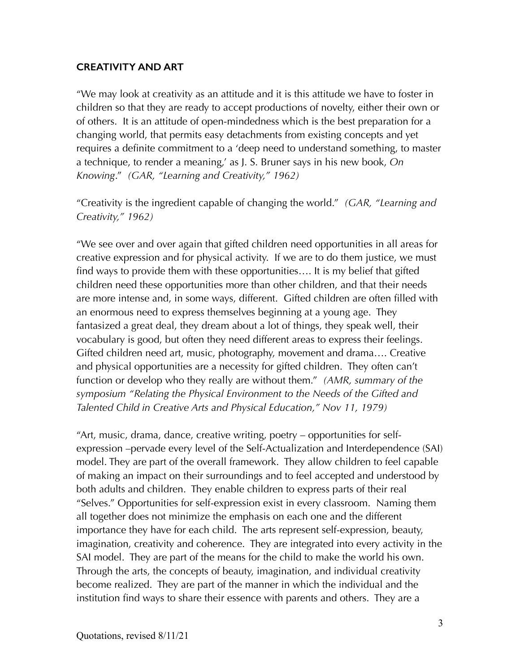#### **CREATIVITY AND ART**

"We may look at creativity as an attitude and it is this attitude we have to foster in children so that they are ready to accept productions of novelty, either their own or of others. It is an attitude of open-mindedness which is the best preparation for a changing world, that permits easy detachments from existing concepts and yet requires a definite commitment to a 'deep need to understand something, to master a technique, to render a meaning,' as J. S. Bruner says in his new book, *On Knowing*." *(GAR, "Learning and Creativity," 1962)*

"Creativity is the ingredient capable of changing the world." *(GAR, "Learning and Creativity," 1962)*

"We see over and over again that gifted children need opportunities in all areas for creative expression and for physical activity. If we are to do them justice, we must find ways to provide them with these opportunities…. It is my belief that gifted children need these opportunities more than other children, and that their needs are more intense and, in some ways, different. Gifted children are often filled with an enormous need to express themselves beginning at a young age. They fantasized a great deal, they dream about a lot of things, they speak well, their vocabulary is good, but often they need different areas to express their feelings. Gifted children need art, music, photography, movement and drama…. Creative and physical opportunities are a necessity for gifted children. They often can't function or develop who they really are without them." *(AMR, summary of the symposium "Relating the Physical Environment to the Needs of the Gifted and Talented Child in Creative Arts and Physical Education," Nov 11, 1979)*

"Art, music, drama, dance, creative writing, poetry – opportunities for selfexpression –pervade every level of the Self-Actualization and Interdependence (SAI) model. They are part of the overall framework. They allow children to feel capable of making an impact on their surroundings and to feel accepted and understood by both adults and children. They enable children to express parts of their real "Selves." Opportunities for self-expression exist in every classroom. Naming them all together does not minimize the emphasis on each one and the different importance they have for each child. The arts represent self-expression, beauty, imagination, creativity and coherence. They are integrated into every activity in the SAI model. They are part of the means for the child to make the world his own. Through the arts, the concepts of beauty, imagination, and individual creativity become realized. They are part of the manner in which the individual and the institution find ways to share their essence with parents and others. They are a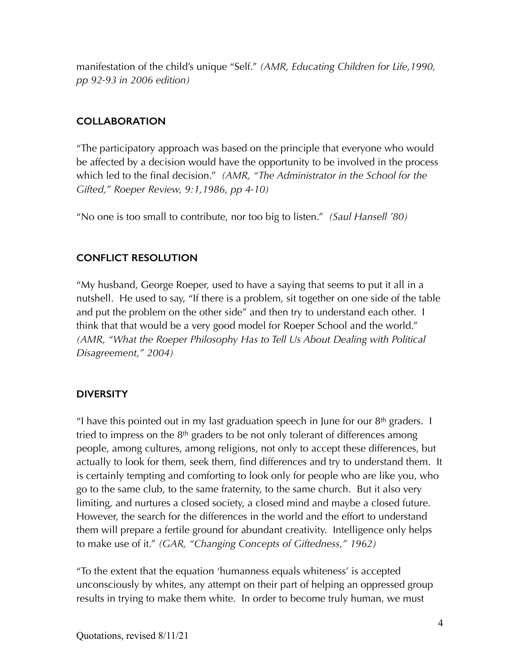manifestation of the child's unique "Self." *(AMR, Educating Children for Life,1990, pp 92-93 in 2006 edition)*

# **COLLABORATION**

"The participatory approach was based on the principle that everyone who would be affected by a decision would have the opportunity to be involved in the process which led to the final decision." *(AMR, "The Administrator in the School for the Gifted," Roeper Review, 9:1,1986, pp 4-10)*

"No one is too small to contribute, nor too big to listen." *(Saul Hansell '80)*

# **CONFLICT RESOLUTION**

"My husband, George Roeper, used to have a saying that seems to put it all in a nutshell. He used to say, "If there is a problem, sit together on one side of the table and put the problem on the other side" and then try to understand each other. I think that that would be a very good model for Roeper School and the world." *(AMR, "What the Roeper Philosophy Has to Tell Us About Dealing with Political Disagreement," 2004)*

# **DIVERSITY**

"I have this pointed out in my last graduation speech in June for our  $8<sup>th</sup>$  graders. I tried to impress on the  $8<sup>th</sup>$  graders to be not only tolerant of differences among people, among cultures, among religions, not only to accept these differences, but actually to look for them, seek them, find differences and try to understand them. It is certainly tempting and comforting to look only for people who are like you, who go to the same club, to the same fraternity, to the same church. But it also very limiting, and nurtures a closed society, a closed mind and maybe a closed future. However, the search for the differences in the world and the effort to understand them will prepare a fertile ground for abundant creativity. Intelligence only helps to make use of it." *(GAR, "Changing Concepts of Giftedness," 1962)*

"To the extent that the equation 'humanness equals whiteness' is accepted unconsciously by whites, any attempt on their part of helping an oppressed group results in trying to make them white. In order to become truly human, we must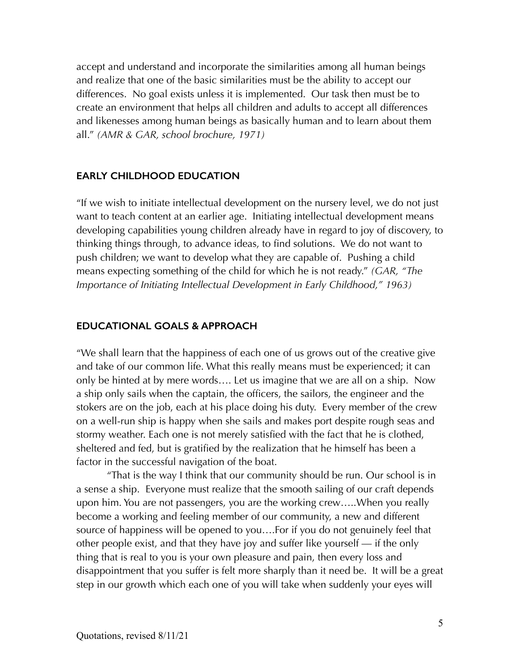accept and understand and incorporate the similarities among all human beings and realize that one of the basic similarities must be the ability to accept our differences. No goal exists unless it is implemented. Our task then must be to create an environment that helps all children and adults to accept all differences and likenesses among human beings as basically human and to learn about them all." *(AMR & GAR, school brochure, 1971)*

#### **EARLY CHILDHOOD EDUCATION**

"If we wish to initiate intellectual development on the nursery level, we do not just want to teach content at an earlier age. Initiating intellectual development means developing capabilities young children already have in regard to joy of discovery, to thinking things through, to advance ideas, to find solutions. We do not want to push children; we want to develop what they are capable of. Pushing a child means expecting something of the child for which he is not ready." *(GAR, "The Importance of Initiating Intellectual Development in Early Childhood," 1963)*

#### **EDUCATIONAL GOALS & APPROACH**

"We shall learn that the happiness of each one of us grows out of the creative give and take of our common life. What this really means must be experienced; it can only be hinted at by mere words…. Let us imagine that we are all on a ship. Now a ship only sails when the captain, the officers, the sailors, the engineer and the stokers are on the job, each at his place doing his duty. Every member of the crew on a well-run ship is happy when she sails and makes port despite rough seas and stormy weather. Each one is not merely satisfied with the fact that he is clothed, sheltered and fed, but is gratified by the realization that he himself has been a factor in the successful navigation of the boat.

 "That is the way I think that our community should be run. Our school is in a sense a ship. Everyone must realize that the smooth sailing of our craft depends upon him. You are not passengers, you are the working crew…..When you really become a working and feeling member of our community, a new and different source of happiness will be opened to you….For if you do not genuinely feel that other people exist, and that they have joy and suffer like yourself — if the only thing that is real to you is your own pleasure and pain, then every loss and disappointment that you suffer is felt more sharply than it need be. It will be a great step in our growth which each one of you will take when suddenly your eyes will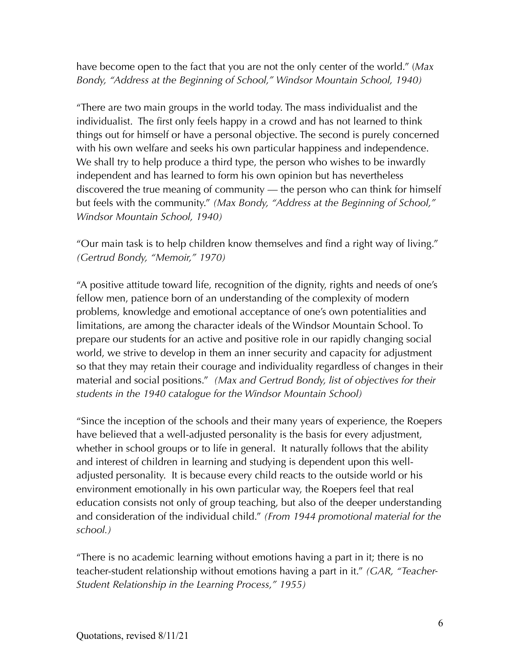have become open to the fact that you are not the only center of the world." (*Max Bondy, "Address at the Beginning of School," Windsor Mountain School, 1940)*

"There are two main groups in the world today. The mass individualist and the individualist. The first only feels happy in a crowd and has not learned to think things out for himself or have a personal objective. The second is purely concerned with his own welfare and seeks his own particular happiness and independence. We shall try to help produce a third type, the person who wishes to be inwardly independent and has learned to form his own opinion but has nevertheless discovered the true meaning of community — the person who can think for himself but feels with the community." *(Max Bondy, "Address at the Beginning of School," Windsor Mountain School, 1940)*

"Our main task is to help children know themselves and find a right way of living." *(Gertrud Bondy, "Memoir," 1970)*

"A positive attitude toward life, recognition of the dignity, rights and needs of one's fellow men, patience born of an understanding of the complexity of modern problems, knowledge and emotional acceptance of one's own potentialities and limitations, are among the character ideals of the Windsor Mountain School. To prepare our students for an active and positive role in our rapidly changing social world, we strive to develop in them an inner security and capacity for adjustment so that they may retain their courage and individuality regardless of changes in their material and social positions." *(Max and Gertrud Bondy, list of objectives for their students in the 1940 catalogue for the Windsor Mountain School)* 

"Since the inception of the schools and their many years of experience, the Roepers have believed that a well-adjusted personality is the basis for every adjustment, whether in school groups or to life in general. It naturally follows that the ability and interest of children in learning and studying is dependent upon this welladjusted personality. It is because every child reacts to the outside world or his environment emotionally in his own particular way, the Roepers feel that real education consists not only of group teaching, but also of the deeper understanding and consideration of the individual child." *(From 1944 promotional material for the school.)*

"There is no academic learning without emotions having a part in it; there is no teacher-student relationship without emotions having a part in it." *(GAR, "Teacher-Student Relationship in the Learning Process," 1955)*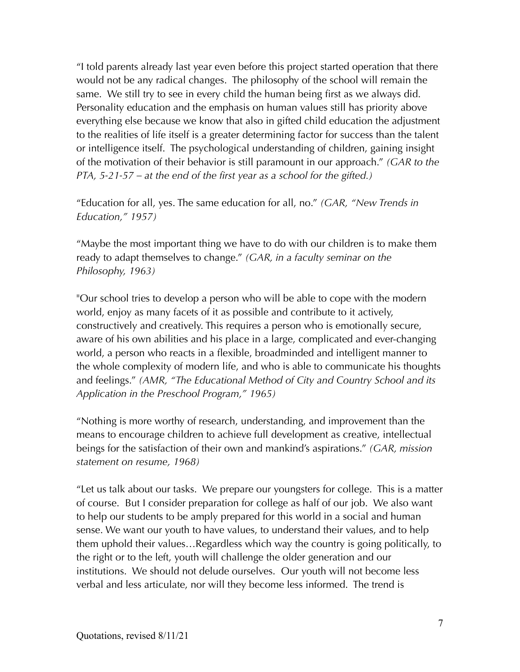"I told parents already last year even before this project started operation that there would not be any radical changes. The philosophy of the school will remain the same. We still try to see in every child the human being first as we always did. Personality education and the emphasis on human values still has priority above everything else because we know that also in gifted child education the adjustment to the realities of life itself is a greater determining factor for success than the talent or intelligence itself. The psychological understanding of children, gaining insight of the motivation of their behavior is still paramount in our approach." *(GAR to the PTA, 5-21-57 – at the end of the first year as a school for the gifted.)*

"Education for all, yes. The same education for all, no." *(GAR, "New Trends in Education," 1957)*

"Maybe the most important thing we have to do with our children is to make them ready to adapt themselves to change." *(GAR, in a faculty seminar on the Philosophy, 1963)*

"Our school tries to develop a person who will be able to cope with the modern world, enjoy as many facets of it as possible and contribute to it actively, constructively and creatively. This requires a person who is emotionally secure, aware of his own abilities and his place in a large, complicated and ever-changing world, a person who reacts in a flexible, broadminded and intelligent manner to the whole complexity of modern life, and who is able to communicate his thoughts and feelings." *(AMR, "The Educational Method of City and Country School and its Application in the Preschool Program," 1965)*

"Nothing is more worthy of research, understanding, and improvement than the means to encourage children to achieve full development as creative, intellectual beings for the satisfaction of their own and mankind's aspirations." *(GAR, mission statement on resume, 1968)*

"Let us talk about our tasks. We prepare our youngsters for college. This is a matter of course. But I consider preparation for college as half of our job. We also want to help our students to be amply prepared for this world in a social and human sense. We want our youth to have values, to understand their values, and to help them uphold their values…Regardless which way the country is going politically, to the right or to the left, youth will challenge the older generation and our institutions. We should not delude ourselves. Our youth will not become less verbal and less articulate, nor will they become less informed. The trend is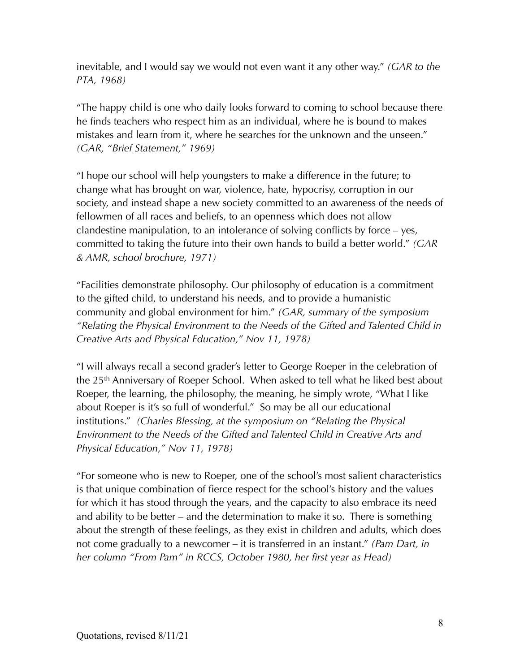inevitable, and I would say we would not even want it any other way." *(GAR to the PTA, 1968)*

"The happy child is one who daily looks forward to coming to school because there he finds teachers who respect him as an individual, where he is bound to makes mistakes and learn from it, where he searches for the unknown and the unseen." *(GAR, "Brief Statement," 1969)*

"I hope our school will help youngsters to make a difference in the future; to change what has brought on war, violence, hate, hypocrisy, corruption in our society, and instead shape a new society committed to an awareness of the needs of fellowmen of all races and beliefs, to an openness which does not allow clandestine manipulation, to an intolerance of solving conflicts by force – yes, committed to taking the future into their own hands to build a better world." *(GAR & AMR, school brochure, 1971)*

"Facilities demonstrate philosophy. Our philosophy of education is a commitment to the gifted child, to understand his needs, and to provide a humanistic community and global environment for him." *(GAR, summary of the symposium "Relating the Physical Environment to the Needs of the Gifted and Talented Child in Creative Arts and Physical Education," Nov 11, 1978)*

"I will always recall a second grader's letter to George Roeper in the celebration of the 25th Anniversary of Roeper School. When asked to tell what he liked best about Roeper, the learning, the philosophy, the meaning, he simply wrote, "What I like about Roeper is it's so full of wonderful." So may be all our educational institutions." *(Charles Blessing, at the symposium on "Relating the Physical Environment to the Needs of the Gifted and Talented Child in Creative Arts and Physical Education," Nov 11, 1978)* 

"For someone who is new to Roeper, one of the school's most salient characteristics is that unique combination of fierce respect for the school's history and the values for which it has stood through the years, and the capacity to also embrace its need and ability to be better – and the determination to make it so. There is something about the strength of these feelings, as they exist in children and adults, which does not come gradually to a newcomer – it is transferred in an instant." *(Pam Dart, in her column "From Pam" in RCCS, October 1980, her first year as Head)*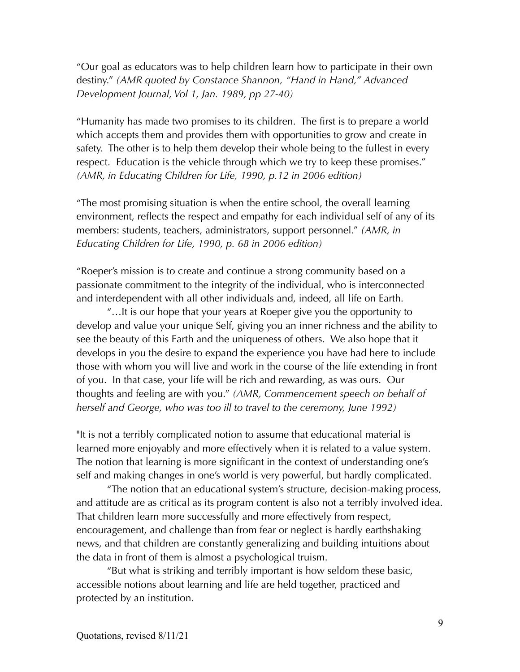"Our goal as educators was to help children learn how to participate in their own destiny." *(AMR quoted by Constance Shannon, "Hand in Hand," Advanced Development Journal, Vol 1, Jan. 1989, pp 27-40)*

"Humanity has made two promises to its children. The first is to prepare a world which accepts them and provides them with opportunities to grow and create in safety. The other is to help them develop their whole being to the fullest in every respect. Education is the vehicle through which we try to keep these promises." *(AMR, in Educating Children for Life, 1990, p.12 in 2006 edition)*

"The most promising situation is when the entire school, the overall learning environment, reflects the respect and empathy for each individual self of any of its members: students, teachers, administrators, support personnel." *(AMR, in Educating Children for Life, 1990, p. 68 in 2006 edition)*

"Roeper's mission is to create and continue a strong community based on a passionate commitment to the integrity of the individual, who is interconnected and interdependent with all other individuals and, indeed, all life on Earth.

 "…It is our hope that your years at Roeper give you the opportunity to develop and value your unique Self, giving you an inner richness and the ability to see the beauty of this Earth and the uniqueness of others. We also hope that it develops in you the desire to expand the experience you have had here to include those with whom you will live and work in the course of the life extending in front of you. In that case, your life will be rich and rewarding, as was ours. Our thoughts and feeling are with you." *(AMR, Commencement speech on behalf of herself and George, who was too ill to travel to the ceremony, June 1992)*

"It is not a terribly complicated notion to assume that educational material is learned more enjoyably and more effectively when it is related to a value system. The notion that learning is more significant in the context of understanding one's self and making changes in one's world is very powerful, but hardly complicated.

 "The notion that an educational system's structure, decision-making process, and attitude are as critical as its program content is also not a terribly involved idea. That children learn more successfully and more effectively from respect, encouragement, and challenge than from fear or neglect is hardly earthshaking news, and that children are constantly generalizing and building intuitions about the data in front of them is almost a psychological truism.

 "But what is striking and terribly important is how seldom these basic, accessible notions about learning and life are held together, practiced and protected by an institution.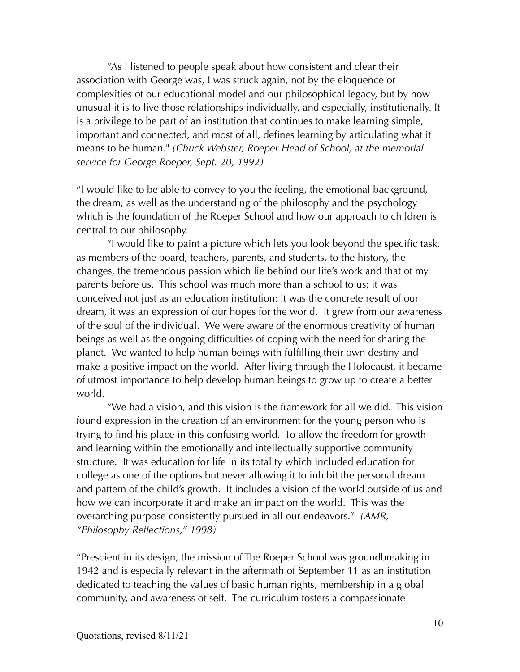"As I listened to people speak about how consistent and clear their association with George was, I was struck again, not by the eloquence or complexities of our educational model and our philosophical legacy, but by how unusual it is to live those relationships individually, and especially, institutionally. It is a privilege to be part of an institution that continues to make learning simple, important and connected, and most of all, defines learning by articulating what it means to be human." *(Chuck Webster, Roeper Head of School, at the memorial service for George Roeper, Sept. 20, 1992)*

"I would like to be able to convey to you the feeling, the emotional background, the dream, as well as the understanding of the philosophy and the psychology which is the foundation of the Roeper School and how our approach to children is central to our philosophy.

 "I would like to paint a picture which lets you look beyond the specific task, as members of the board, teachers, parents, and students, to the history, the changes, the tremendous passion which lie behind our life's work and that of my parents before us. This school was much more than a school to us; it was conceived not just as an education institution: It was the concrete result of our dream, it was an expression of our hopes for the world. It grew from our awareness of the soul of the individual. We were aware of the enormous creativity of human beings as well as the ongoing difficulties of coping with the need for sharing the planet. We wanted to help human beings with fulfilling their own destiny and make a positive impact on the world. After living through the Holocaust, it became of utmost importance to help develop human beings to grow up to create a better world.

 "We had a vision, and this vision is the framework for all we did. This vision found expression in the creation of an environment for the young person who is trying to find his place in this confusing world. To allow the freedom for growth and learning within the emotionally and intellectually supportive community structure. It was education for life in its totality which included education for college as one of the options but never allowing it to inhibit the personal dream and pattern of the child's growth. It includes a vision of the world outside of us and how we can incorporate it and make an impact on the world. This was the overarching purpose consistently pursued in all our endeavors." *(AMR, "Philosophy Reflections," 1998)*

"Prescient in its design, the mission of The Roeper School was groundbreaking in 1942 and is especially relevant in the aftermath of September 11 as an institution dedicated to teaching the values of basic human rights, membership in a global community, and awareness of self. The curriculum fosters a compassionate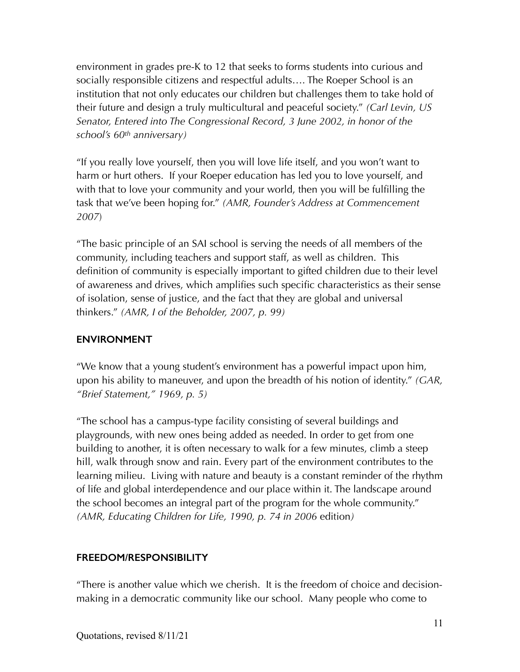environment in grades pre-K to 12 that seeks to forms students into curious and socially responsible citizens and respectful adults…. The Roeper School is an institution that not only educates our children but challenges them to take hold of their future and design a truly multicultural and peaceful society." *(Carl Levin, US Senator, Entered into The Congressional Record, 3 June 2002, in honor of the school's 60th anniversary)*

"If you really love yourself, then you will love life itself, and you won't want to harm or hurt others. If your Roeper education has led you to love yourself, and with that to love your community and your world, then you will be fulfilling the task that we've been hoping for." *(AMR, Founder's Address at Commencement 2007*)

"The basic principle of an SAI school is serving the needs of all members of the community, including teachers and support staff, as well as children. This definition of community is especially important to gifted children due to their level of awareness and drives, which amplifies such specific characteristics as their sense of isolation, sense of justice, and the fact that they are global and universal thinkers." *(AMR, I of the Beholder, 2007, p. 99)*

# **ENVIRONMENT**

"We know that a young student's environment has a powerful impact upon him, upon his ability to maneuver, and upon the breadth of his notion of identity." *(GAR, "Brief Statement," 1969, p. 5)*

"The school has a campus-type facility consisting of several buildings and playgrounds, with new ones being added as needed. In order to get from one building to another, it is often necessary to walk for a few minutes, climb a steep hill, walk through snow and rain. Every part of the environment contributes to the learning milieu. Living with nature and beauty is a constant reminder of the rhythm of life and global interdependence and our place within it. The landscape around the school becomes an integral part of the program for the whole community." *(AMR, Educating Children for Life, 1990, p. 74 in 2006* edition*)*

### **FREEDOM/RESPONSIBILITY**

"There is another value which we cherish. It is the freedom of choice and decisionmaking in a democratic community like our school. Many people who come to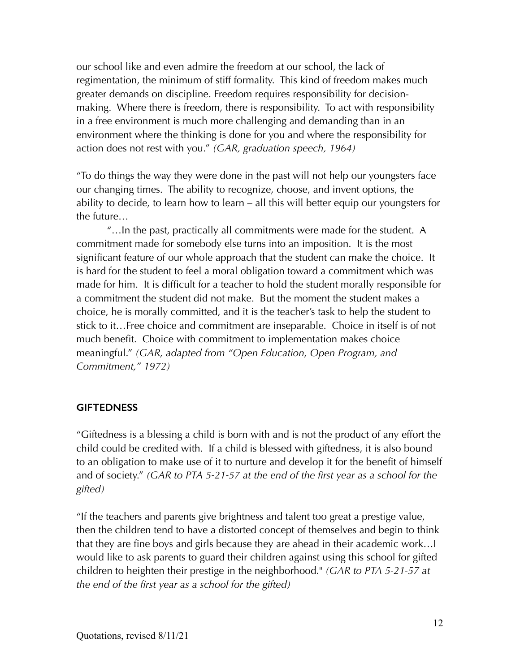our school like and even admire the freedom at our school, the lack of regimentation, the minimum of stiff formality. This kind of freedom makes much greater demands on discipline. Freedom requires responsibility for decisionmaking. Where there is freedom, there is responsibility. To act with responsibility in a free environment is much more challenging and demanding than in an environment where the thinking is done for you and where the responsibility for action does not rest with you." *(GAR, graduation speech, 1964)*

"To do things the way they were done in the past will not help our youngsters face our changing times. The ability to recognize, choose, and invent options, the ability to decide, to learn how to learn – all this will better equip our youngsters for the future…

 "…In the past, practically all commitments were made for the student. A commitment made for somebody else turns into an imposition. It is the most significant feature of our whole approach that the student can make the choice. It is hard for the student to feel a moral obligation toward a commitment which was made for him. It is difficult for a teacher to hold the student morally responsible for a commitment the student did not make. But the moment the student makes a choice, he is morally committed, and it is the teacher's task to help the student to stick to it…Free choice and commitment are inseparable. Choice in itself is of not much benefit. Choice with commitment to implementation makes choice meaningful." *(GAR, adapted from "Open Education, Open Program, and Commitment," 1972)*

#### **GIFTEDNESS**

"Giftedness is a blessing a child is born with and is not the product of any effort the child could be credited with. If a child is blessed with giftedness, it is also bound to an obligation to make use of it to nurture and develop it for the benefit of himself and of society." *(GAR to PTA 5-21-57 at the end of the first year as a school for the gifted)*

"If the teachers and parents give brightness and talent too great a prestige value, then the children tend to have a distorted concept of themselves and begin to think that they are fine boys and girls because they are ahead in their academic work…I would like to ask parents to guard their children against using this school for gifted children to heighten their prestige in the neighborhood." *(GAR to PTA 5-21-57 at the end of the first year as a school for the gifted)*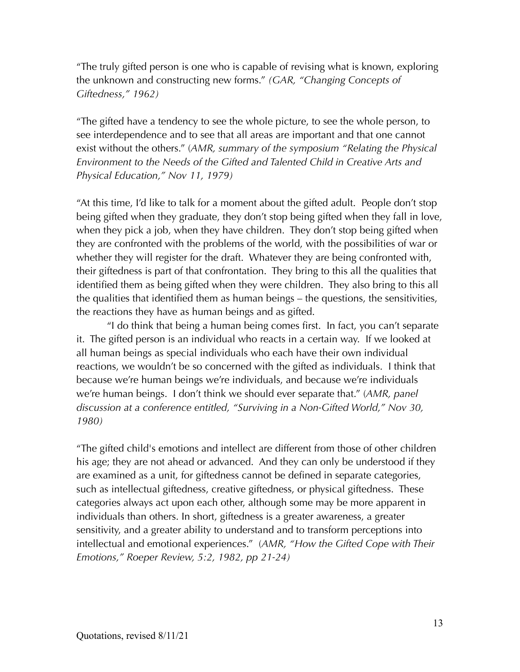"The truly gifted person is one who is capable of revising what is known, exploring the unknown and constructing new forms." *(GAR, "Changing Concepts of Giftedness," 1962)*

"The gifted have a tendency to see the whole picture, to see the whole person, to see interdependence and to see that all areas are important and that one cannot exist without the others." (*AMR, summary of the symposium "Relating the Physical Environment to the Needs of the Gifted and Talented Child in Creative Arts and Physical Education," Nov 11, 1979)*

"At this time, I'd like to talk for a moment about the gifted adult. People don't stop being gifted when they graduate, they don't stop being gifted when they fall in love, when they pick a job, when they have children. They don't stop being gifted when they are confronted with the problems of the world, with the possibilities of war or whether they will register for the draft. Whatever they are being confronted with, their giftedness is part of that confrontation. They bring to this all the qualities that identified them as being gifted when they were children. They also bring to this all the qualities that identified them as human beings – the questions, the sensitivities, the reactions they have as human beings and as gifted.

 "I do think that being a human being comes first. In fact, you can't separate it. The gifted person is an individual who reacts in a certain way. If we looked at all human beings as special individuals who each have their own individual reactions, we wouldn't be so concerned with the gifted as individuals. I think that because we're human beings we're individuals, and because we're individuals we're human beings. I don't think we should ever separate that." (*AMR, panel discussion at a conference entitled, "Surviving in a Non-Gifted World," Nov 30, 1980)*

"The gifted child's emotions and intellect are different from those of other children his age; they are not ahead or advanced. And they can only be understood if they are examined as a unit, for giftedness cannot be defined in separate categories, such as intellectual giftedness, creative giftedness, or physical giftedness. These categories always act upon each other, although some may be more apparent in individuals than others. In short, giftedness is a greater awareness, a greater sensitivity, and a greater ability to understand and to transform perceptions into intellectual and emotional experiences." (*AMR, "How the Gifted Cope with Their Emotions," Roeper Review, 5:2, 1982, pp 21-24)*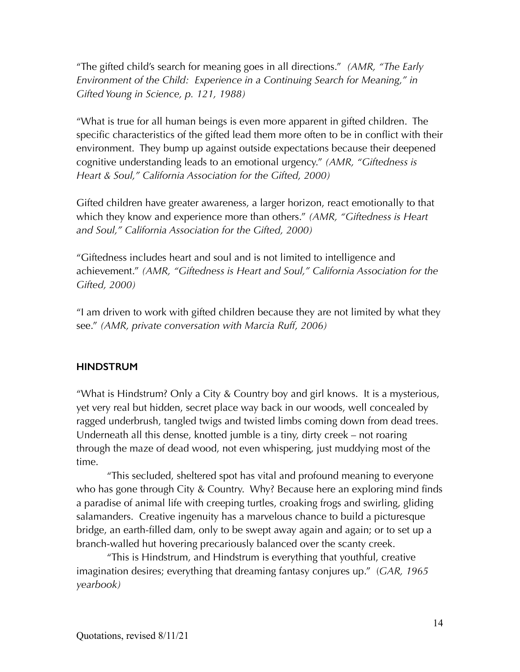"The gifted child's search for meaning goes in all directions." *(AMR, "The Early Environment of the Child: Experience in a Continuing Search for Meaning," in Gifted Young in Science, p. 121, 1988)*

"What is true for all human beings is even more apparent in gifted children. The specific characteristics of the gifted lead them more often to be in conflict with their environment. They bump up against outside expectations because their deepened cognitive understanding leads to an emotional urgency." *(AMR, "Giftedness is Heart & Soul," California Association for the Gifted, 2000)*

Gifted children have greater awareness, a larger horizon, react emotionally to that which they know and experience more than others." *(AMR, "Giftedness is Heart and Soul," California Association for the Gifted, 2000)*

"Giftedness includes heart and soul and is not limited to intelligence and achievement." *(AMR, "Giftedness is Heart and Soul," California Association for the Gifted, 2000)*

"I am driven to work with gifted children because they are not limited by what they see." *(AMR, private conversation with Marcia Ruff, 2006)*

#### **HINDSTRUM**

"What is Hindstrum? Only a City & Country boy and girl knows. It is a mysterious, yet very real but hidden, secret place way back in our woods, well concealed by ragged underbrush, tangled twigs and twisted limbs coming down from dead trees. Underneath all this dense, knotted jumble is a tiny, dirty creek – not roaring through the maze of dead wood, not even whispering, just muddying most of the time.

 "This secluded, sheltered spot has vital and profound meaning to everyone who has gone through City & Country. Why? Because here an exploring mind finds a paradise of animal life with creeping turtles, croaking frogs and swirling, gliding salamanders. Creative ingenuity has a marvelous chance to build a picturesque bridge, an earth-filled dam, only to be swept away again and again; or to set up a branch-walled hut hovering precariously balanced over the scanty creek.

 "This is Hindstrum, and Hindstrum is everything that youthful, creative imagination desires; everything that dreaming fantasy conjures up." (*GAR, 1965 yearbook)*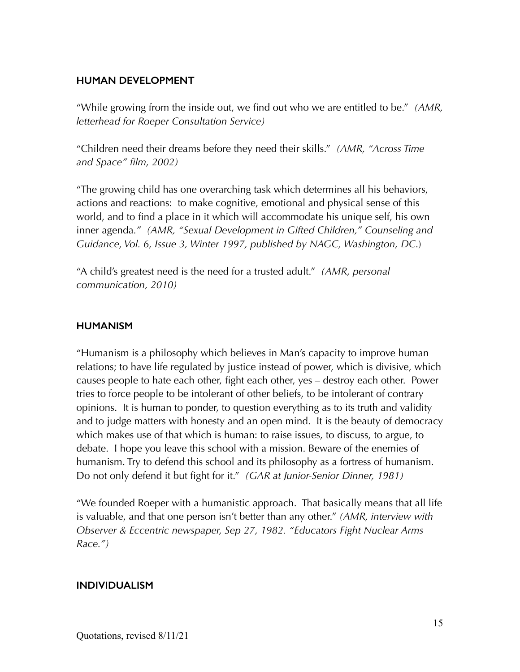#### **HUMAN DEVELOPMENT**

"While growing from the inside out, we find out who we are entitled to be." *(AMR, letterhead for Roeper Consultation Service)*

"Children need their dreams before they need their skills." *(AMR, "Across Time and Space" film, 2002)*

"The growing child has one overarching task which determines all his behaviors, actions and reactions: to make cognitive, emotional and physical sense of this world, and to find a place in it which will accommodate his unique self, his own inner agenda*." (AMR, "Sexual Development in Gifted Children," Counseling and Guidance, Vol. 6, Issue 3, Winter 1997, published by NAGC, Washington, DC*.)

"A child's greatest need is the need for a trusted adult." *(AMR, personal communication, 2010)*

#### **HUMANISM**

"Humanism is a philosophy which believes in Man's capacity to improve human relations; to have life regulated by justice instead of power, which is divisive, which causes people to hate each other, fight each other, yes – destroy each other. Power tries to force people to be intolerant of other beliefs, to be intolerant of contrary opinions. It is human to ponder, to question everything as to its truth and validity and to judge matters with honesty and an open mind. It is the beauty of democracy which makes use of that which is human: to raise issues, to discuss, to argue, to debate. I hope you leave this school with a mission. Beware of the enemies of humanism. Try to defend this school and its philosophy as a fortress of humanism. Do not only defend it but fight for it." *(GAR at Junior-Senior Dinner, 1981)*

"We founded Roeper with a humanistic approach. That basically means that all life is valuable, and that one person isn't better than any other." *(AMR, interview with Observer & Eccentric newspaper, Sep 27, 1982. "Educators Fight Nuclear Arms Race.")*

#### **INDIVIDUALISM**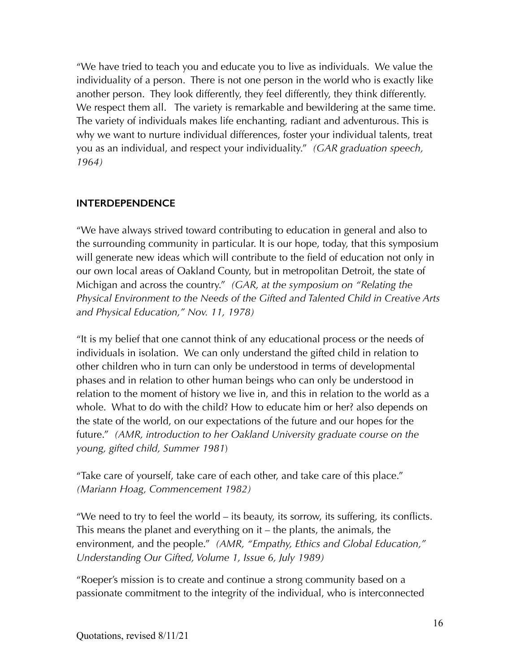"We have tried to teach you and educate you to live as individuals. We value the individuality of a person. There is not one person in the world who is exactly like another person. They look differently, they feel differently, they think differently. We respect them all. The variety is remarkable and bewildering at the same time. The variety of individuals makes life enchanting, radiant and adventurous. This is why we want to nurture individual differences, foster your individual talents, treat you as an individual, and respect your individuality." *(GAR graduation speech, 1964)*

### **INTERDEPENDENCE**

"We have always strived toward contributing to education in general and also to the surrounding community in particular. It is our hope, today, that this symposium will generate new ideas which will contribute to the field of education not only in our own local areas of Oakland County, but in metropolitan Detroit, the state of Michigan and across the country." *(GAR, at the symposium on "Relating the Physical Environment to the Needs of the Gifted and Talented Child in Creative Arts and Physical Education," Nov. 11, 1978)*

"It is my belief that one cannot think of any educational process or the needs of individuals in isolation. We can only understand the gifted child in relation to other children who in turn can only be understood in terms of developmental phases and in relation to other human beings who can only be understood in relation to the moment of history we live in, and this in relation to the world as a whole. What to do with the child? How to educate him or her? also depends on the state of the world, on our expectations of the future and our hopes for the future." *(AMR, introduction to her Oakland University graduate course on the young, gifted child, Summer 1981*)

"Take care of yourself, take care of each other, and take care of this place." *(Mariann Hoag, Commencement 1982)*

"We need to try to feel the world – its beauty, its sorrow, its suffering, its conflicts. This means the planet and everything on it – the plants, the animals, the environment, and the people." *(AMR, "Empathy, Ethics and Global Education," Understanding Our Gifted, Volume 1, Issue 6, July 1989)*

"Roeper's mission is to create and continue a strong community based on a passionate commitment to the integrity of the individual, who is interconnected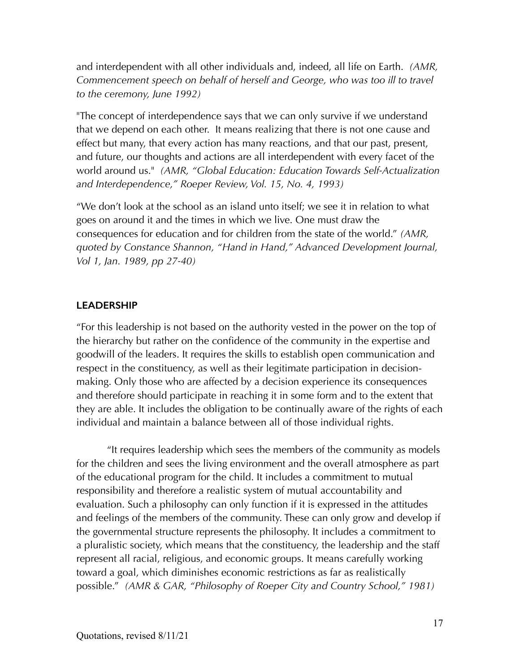and interdependent with all other individuals and, indeed, all life on Earth. *(AMR, Commencement speech on behalf of herself and George, who was too ill to travel to the ceremony, June 1992)*

"The concept of interdependence says that we can only survive if we understand that we depend on each other. It means realizing that there is not one cause and effect but many, that every action has many reactions, and that our past, present, and future, our thoughts and actions are all interdependent with every facet of the world around us." *(AMR, "Global Education: Education Towards Self-Actualization and Interdependence," Roeper Review, Vol. 15, No. 4, 1993)*

"We don't look at the school as an island unto itself; we see it in relation to what goes on around it and the times in which we live. One must draw the consequences for education and for children from the state of the world." *(AMR, quoted by Constance Shannon, "Hand in Hand," Advanced Development Journal, Vol 1, Jan. 1989, pp 27-40)*

#### **LEADERSHIP**

"For this leadership is not based on the authority vested in the power on the top of the hierarchy but rather on the confidence of the community in the expertise and goodwill of the leaders. It requires the skills to establish open communication and respect in the constituency, as well as their legitimate participation in decisionmaking. Only those who are affected by a decision experience its consequences and therefore should participate in reaching it in some form and to the extent that they are able. It includes the obligation to be continually aware of the rights of each individual and maintain a balance between all of those individual rights.

 "It requires leadership which sees the members of the community as models for the children and sees the living environment and the overall atmosphere as part of the educational program for the child. It includes a commitment to mutual responsibility and therefore a realistic system of mutual accountability and evaluation. Such a philosophy can only function if it is expressed in the attitudes and feelings of the members of the community. These can only grow and develop if the governmental structure represents the philosophy. It includes a commitment to a pluralistic society, which means that the constituency, the leadership and the staff represent all racial, religious, and economic groups. It means carefully working toward a goal, which diminishes economic restrictions as far as realistically possible." *(AMR & GAR, "Philosophy of Roeper City and Country School," 1981)*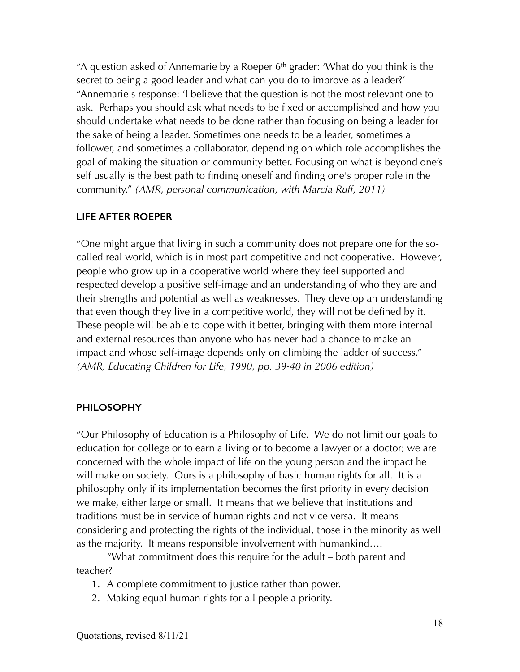"A question asked of Annemarie by a Roeper  $6<sup>th</sup>$  grader: 'What do you think is the secret to being a good leader and what can you do to improve as a leader?' "Annemarie's response: 'I believe that the question is not the most relevant one to ask. Perhaps you should ask what needs to be fixed or accomplished and how you should undertake what needs to be done rather than focusing on being a leader for the sake of being a leader. Sometimes one needs to be a leader, sometimes a follower, and sometimes a collaborator, depending on which role accomplishes the goal of making the situation or community better. Focusing on what is beyond one's self usually is the best path to finding oneself and finding one's proper role in the community." *(AMR, personal communication, with Marcia Ruff, 2011)*

### **LIFE AFTER ROEPER**

"One might argue that living in such a community does not prepare one for the socalled real world, which is in most part competitive and not cooperative. However, people who grow up in a cooperative world where they feel supported and respected develop a positive self-image and an understanding of who they are and their strengths and potential as well as weaknesses. They develop an understanding that even though they live in a competitive world, they will not be defined by it. These people will be able to cope with it better, bringing with them more internal and external resources than anyone who has never had a chance to make an impact and whose self-image depends only on climbing the ladder of success." *(AMR, Educating Children for Life, 1990, pp. 39-40 in 2006 edition)*

#### **PHILOSOPHY**

"Our Philosophy of Education is a Philosophy of Life. We do not limit our goals to education for college or to earn a living or to become a lawyer or a doctor; we are concerned with the whole impact of life on the young person and the impact he will make on society. Ours is a philosophy of basic human rights for all. It is a philosophy only if its implementation becomes the first priority in every decision we make, either large or small. It means that we believe that institutions and traditions must be in service of human rights and not vice versa. It means considering and protecting the rights of the individual, those in the minority as well as the majority. It means responsible involvement with humankind….

 "What commitment does this require for the adult – both parent and teacher?

- 1. A complete commitment to justice rather than power.
- 2. Making equal human rights for all people a priority.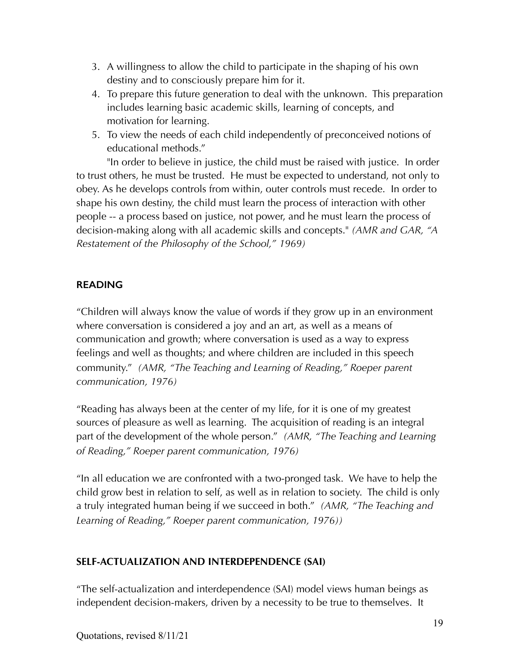- 3. A willingness to allow the child to participate in the shaping of his own destiny and to consciously prepare him for it.
- 4. To prepare this future generation to deal with the unknown. This preparation includes learning basic academic skills, learning of concepts, and motivation for learning.
- 5. To view the needs of each child independently of preconceived notions of educational methods."

 "In order to believe in justice, the child must be raised with justice. In order to trust others, he must be trusted. He must be expected to understand, not only to obey. As he develops controls from within, outer controls must recede. In order to shape his own destiny, the child must learn the process of interaction with other people -- a process based on justice, not power, and he must learn the process of decision-making along with all academic skills and concepts." *(AMR and GAR, "A Restatement of the Philosophy of the School," 1969)*

# **READING**

"Children will always know the value of words if they grow up in an environment where conversation is considered a joy and an art, as well as a means of communication and growth; where conversation is used as a way to express feelings and well as thoughts; and where children are included in this speech community." *(AMR, "The Teaching and Learning of Reading," Roeper parent communication, 1976)*

"Reading has always been at the center of my life, for it is one of my greatest sources of pleasure as well as learning. The acquisition of reading is an integral part of the development of the whole person." *(AMR, "The Teaching and Learning of Reading," Roeper parent communication, 1976)*

"In all education we are confronted with a two-pronged task. We have to help the child grow best in relation to self, as well as in relation to society. The child is only a truly integrated human being if we succeed in both." *(AMR, "The Teaching and Learning of Reading," Roeper parent communication, 1976))*

### **SELF-ACTUALIZATION AND INTERDEPENDENCE (SAI)**

"The self-actualization and interdependence (SAI) model views human beings as independent decision-makers, driven by a necessity to be true to themselves. It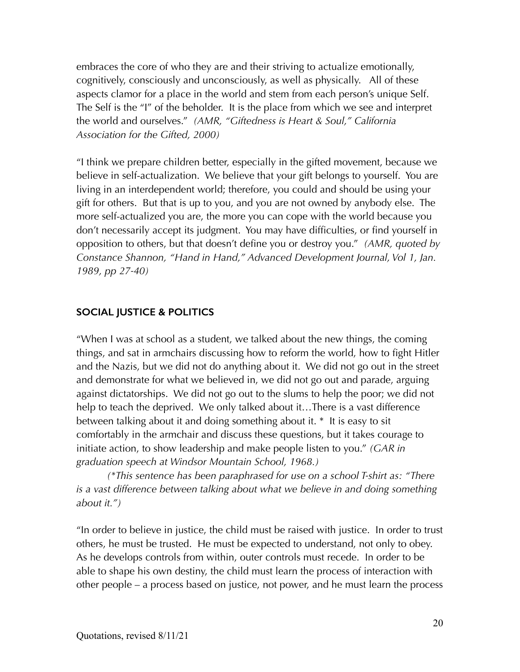embraces the core of who they are and their striving to actualize emotionally, cognitively, consciously and unconsciously, as well as physically. All of these aspects clamor for a place in the world and stem from each person's unique Self. The Self is the "I" of the beholder. It is the place from which we see and interpret the world and ourselves." *(AMR, "Giftedness is Heart & Soul," California Association for the Gifted, 2000)*

"I think we prepare children better, especially in the gifted movement, because we believe in self-actualization. We believe that your gift belongs to yourself. You are living in an interdependent world; therefore, you could and should be using your gift for others. But that is up to you, and you are not owned by anybody else. The more self-actualized you are, the more you can cope with the world because you don't necessarily accept its judgment. You may have difficulties, or find yourself in opposition to others, but that doesn't define you or destroy you." *(AMR, quoted by Constance Shannon, "Hand in Hand," Advanced Development Journal, Vol 1, Jan. 1989, pp 27-40)*

# **SOCIAL JUSTICE & POLITICS**

"When I was at school as a student, we talked about the new things, the coming things, and sat in armchairs discussing how to reform the world, how to fight Hitler and the Nazis, but we did not do anything about it. We did not go out in the street and demonstrate for what we believed in, we did not go out and parade, arguing against dictatorships. We did not go out to the slums to help the poor; we did not help to teach the deprived. We only talked about it…There is a vast difference between talking about it and doing something about it. \* It is easy to sit comfortably in the armchair and discuss these questions, but it takes courage to initiate action, to show leadership and make people listen to you." *(GAR in graduation speech at Windsor Mountain School, 1968.)*

 *(\*This sentence has been paraphrased for use on a school T-shirt as: "There is a vast difference between talking about what we believe in and doing something about it.")*

"In order to believe in justice, the child must be raised with justice. In order to trust others, he must be trusted. He must be expected to understand, not only to obey. As he develops controls from within, outer controls must recede. In order to be able to shape his own destiny, the child must learn the process of interaction with other people – a process based on justice, not power, and he must learn the process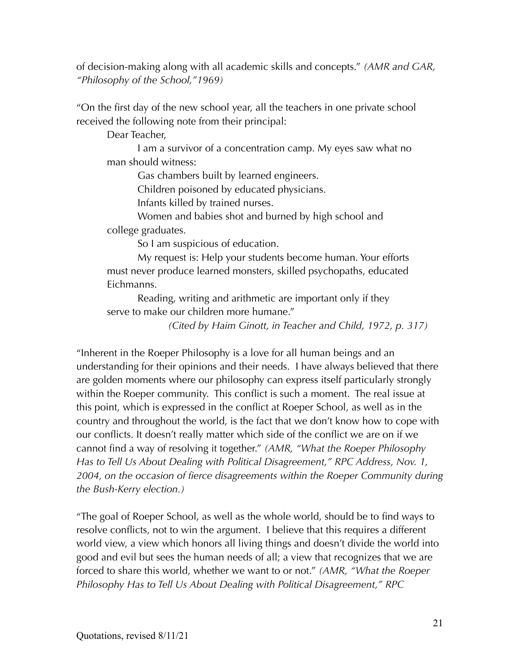of decision-making along with all academic skills and concepts." *(AMR and GAR, "Philosophy of the School,"1969)*

"On the first day of the new school year, all the teachers in one private school received the following note from their principal:

Dear Teacher,

 I am a survivor of a concentration camp. My eyes saw what no man should witness:

Gas chambers built by learned engineers.

Children poisoned by educated physicians.

Infants killed by trained nurses.

 Women and babies shot and burned by high school and college graduates.

So I am suspicious of education.

 My request is: Help your students become human. Your efforts must never produce learned monsters, skilled psychopaths, educated Eichmanns.

 Reading, writing and arithmetic are important only if they serve to make our children more humane."

*(Cited by Haim Ginott, in Teacher and Child, 1972, p. 317)*

"Inherent in the Roeper Philosophy is a love for all human beings and an understanding for their opinions and their needs. I have always believed that there are golden moments where our philosophy can express itself particularly strongly within the Roeper community. This conflict is such a moment. The real issue at this point, which is expressed in the conflict at Roeper School, as well as in the country and throughout the world, is the fact that we don't know how to cope with our conflicts. It doesn't really matter which side of the conflict we are on if we cannot find a way of resolving it together." *(AMR, "What the Roeper Philosophy Has to Tell Us About Dealing with Political Disagreement," RPC Address, Nov. 1, 2004, on the occasion of fierce disagreements within the Roeper Community during the Bush-Kerry election.)*

"The goal of Roeper School, as well as the whole world, should be to find ways to resolve conflicts, not to win the argument. I believe that this requires a different world view, a view which honors all living things and doesn't divide the world into good and evil but sees the human needs of all; a view that recognizes that we are forced to share this world, whether we want to or not." *(AMR, "What the Roeper Philosophy Has to Tell Us About Dealing with Political Disagreement," RPC*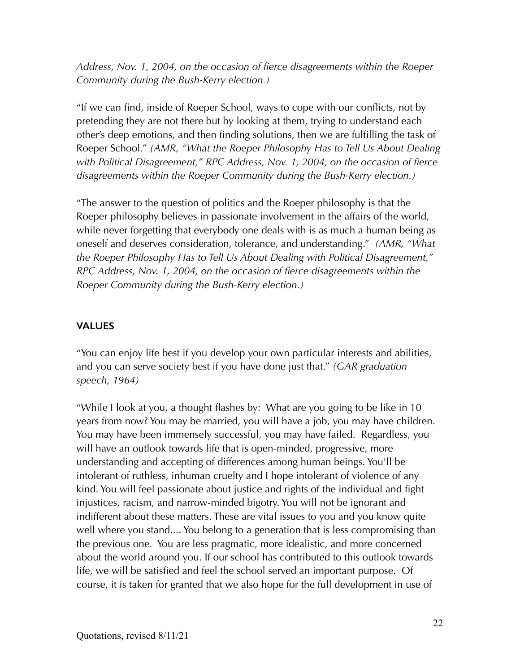*Address, Nov. 1, 2004, on the occasion of fierce disagreements within the Roeper Community during the Bush-Kerry election.)*

"If we can find, inside of Roeper School, ways to cope with our conflicts, not by pretending they are not there but by looking at them, trying to understand each other's deep emotions, and then finding solutions, then we are fulfilling the task of Roeper School." *(AMR, "What the Roeper Philosophy Has to Tell Us About Dealing with Political Disagreement," RPC Address, Nov. 1, 2004, on the occasion of fierce disagreements within the Roeper Community during the Bush-Kerry election.)*

"The answer to the question of politics and the Roeper philosophy is that the Roeper philosophy believes in passionate involvement in the affairs of the world, while never forgetting that everybody one deals with is as much a human being as oneself and deserves consideration, tolerance, and understanding." *(AMR, "What the Roeper Philosophy Has to Tell Us About Dealing with Political Disagreement," RPC Address, Nov. 1, 2004, on the occasion of fierce disagreements within the Roeper Community during the Bush-Kerry election.)*

### **VALUES**

"You can enjoy life best if you develop your own particular interests and abilities, and you can serve society best if you have done just that." *(GAR graduation speech, 1964)*

"While I look at you, a thought flashes by: What are you going to be like in 10 years from now? You may be married, you will have a job, you may have children. You may have been immensely successful, you may have failed. Regardless, you will have an outlook towards life that is open-minded, progressive, more understanding and accepting of differences among human beings. You'll be intolerant of ruthless, inhuman cruelty and I hope intolerant of violence of any kind. You will feel passionate about justice and rights of the individual and fight injustices, racism, and narrow-minded bigotry. You will not be ignorant and indifferent about these matters. These are vital issues to you and you know quite well where you stand.... You belong to a generation that is less compromising than the previous one. You are less pragmatic, more idealistic, and more concerned about the world around you. If our school has contributed to this outlook towards life, we will be satisfied and feel the school served an important purpose. Of course, it is taken for granted that we also hope for the full development in use of